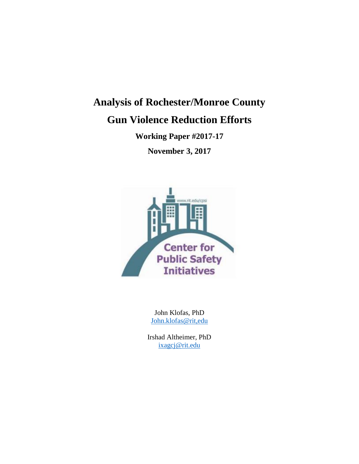# **Analysis of Rochester/Monroe County**

# **Gun Violence Reduction Efforts**

**Working Paper #2017-17**

**November 3, 2017**



John Klofas, PhD [John.klofas@rit,edu](mailto:John.klofas@rit,edu)

Irshad Altheimer, PhD [ixagcj@rit.edu](mailto:ixagcj@rit.edu)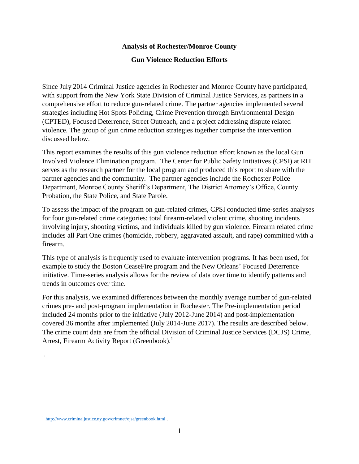### **Analysis of Rochester/Monroe County**

## **Gun Violence Reduction Efforts**

Since July 2014 Criminal Justice agencies in Rochester and Monroe County have participated, with support from the New York State Division of Criminal Justice Services, as partners in a comprehensive effort to reduce gun-related crime. The partner agencies implemented several strategies including Hot Spots Policing, Crime Prevention through Environmental Design (CPTED), Focused Deterrence, Street Outreach, and a project addressing dispute related violence. The group of gun crime reduction strategies together comprise the intervention discussed below.

This report examines the results of this gun violence reduction effort known as the local Gun Involved Violence Elimination program. The Center for Public Safety Initiatives (CPSI) at RIT serves as the research partner for the local program and produced this report to share with the partner agencies and the community. The partner agencies include the Rochester Police Department, Monroe County Sheriff's Department, The District Attorney's Office, County Probation, the State Police, and State Parole.

To assess the impact of the program on gun-related crimes, CPSI conducted time-series analyses for four gun-related crime categories: total firearm-related violent crime, shooting incidents involving injury, shooting victims, and individuals killed by gun violence. Firearm related crime includes all Part One crimes (homicide, robbery, aggravated assault, and rape) committed with a firearm.

This type of analysis is frequently used to evaluate intervention programs. It has been used, for example to study the Boston CeaseFire program and the New Orleans' Focused Deterrence initiative. Time-series analysis allows for the review of data over time to identify patterns and trends in outcomes over time.

For this analysis, we examined differences between the monthly average number of gun-related crimes pre- and post-program implementation in Rochester. The Pre-implementation period included 24 months prior to the initiative (July 2012-June 2014) and post-implementation covered 36 months after implemented (July 2014-June 2017). The results are described below. The crime count data are from the official Division of Criminal Justice Services (DCJS) Crime, Arrest, Firearm Activity Report (Greenbook). 1

.

 $\overline{a}$ 

<sup>&</sup>lt;sup>1</sup> <http://www.criminaljustice.ny.gov/crimnet/ojsa/greenbook.html>.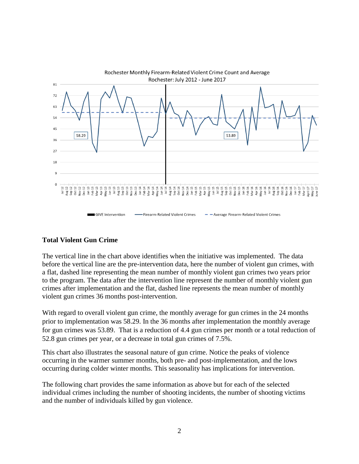

## **Total Violent Gun Crime**

The vertical line in the chart above identifies when the initiative was implemented. The data before the vertical line are the pre-intervention data, here the number of violent gun crimes, with a flat, dashed line representing the mean number of monthly violent gun crimes two years prior to the program. The data after the intervention line represent the number of monthly violent gun crimes after implementation and the flat, dashed line represents the mean number of monthly violent gun crimes 36 months post-intervention.

With regard to overall violent gun crime, the monthly average for gun crimes in the 24 months prior to implementation was 58.29. In the 36 months after implementation the monthly average for gun crimes was 53.89. That is a reduction of 4.4 gun crimes per month or a total reduction of 52.8 gun crimes per year, or a decrease in total gun crimes of 7.5%.

This chart also illustrates the seasonal nature of gun crime. Notice the peaks of violence occurring in the warmer summer months, both pre- and post-implementation, and the lows occurring during colder winter months. This seasonality has implications for intervention.

The following chart provides the same information as above but for each of the selected individual crimes including the number of shooting incidents, the number of shooting victims and the number of individuals killed by gun violence.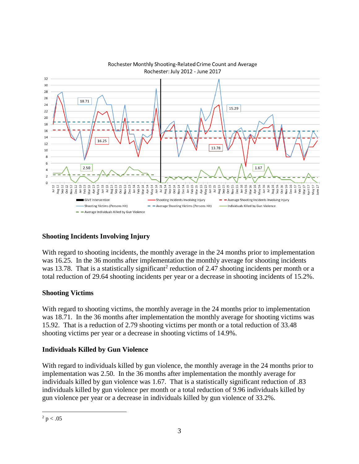

#### Rochester Monthly Shooting-Related Crime Count and Average Rochester: July 2012 - June 2017

# **Shooting Incidents Involving Injury**

With regard to shooting incidents, the monthly average in the 24 months prior to implementation was 16.25. In the 36 months after implementation the monthly average for shooting incidents was 13.78. That is a statistically significant<sup>2</sup> reduction of 2.47 shooting incidents per month or a total reduction of 29.64 shooting incidents per year or a decrease in shooting incidents of 15.2%.

## **Shooting Victims**

With regard to shooting victims, the monthly average in the 24 months prior to implementation was 18.71. In the 36 months after implementation the monthly average for shooting victims was 15.92. That is a reduction of 2.79 shooting victims per month or a total reduction of 33.48 shooting victims per year or a decrease in shooting victims of 14.9%.

## **Individuals Killed by Gun Violence**

With regard to individuals killed by gun violence, the monthly average in the 24 months prior to implementation was 2.50. In the 36 months after implementation the monthly average for individuals killed by gun violence was 1.67. That is a statistically significant reduction of .83 individuals killed by gun violence per month or a total reduction of 9.96 individuals killed by gun violence per year or a decrease in individuals killed by gun violence of 33.2%.

 $\overline{a}$  $2 p < .05$